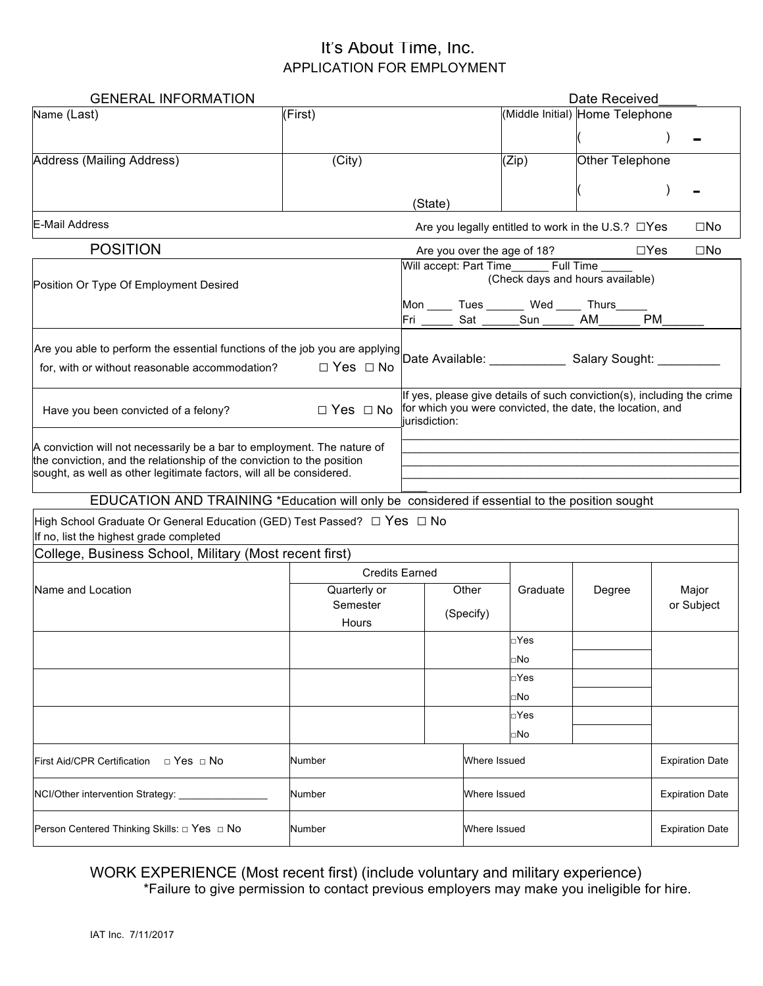| <b>GENERAL INFORMATION</b>                                                                                                                                                                                                |                          |                                                                                                                                  |              | Date Received                   |                                           |                                                          |                        |                        |
|---------------------------------------------------------------------------------------------------------------------------------------------------------------------------------------------------------------------------|--------------------------|----------------------------------------------------------------------------------------------------------------------------------|--------------|---------------------------------|-------------------------------------------|----------------------------------------------------------|------------------------|------------------------|
| Name (Last)                                                                                                                                                                                                               | (First)                  |                                                                                                                                  |              | (Middle Initial) Home Telephone |                                           |                                                          |                        |                        |
|                                                                                                                                                                                                                           |                          |                                                                                                                                  |              |                                 |                                           |                                                          |                        |                        |
| Address (Mailing Address)                                                                                                                                                                                                 | (City)                   |                                                                                                                                  |              |                                 | (Zip)                                     | Other Telephone                                          |                        |                        |
|                                                                                                                                                                                                                           |                          |                                                                                                                                  |              |                                 |                                           |                                                          |                        |                        |
|                                                                                                                                                                                                                           |                          |                                                                                                                                  | (State)      |                                 |                                           |                                                          |                        |                        |
| E-Mail Address                                                                                                                                                                                                            |                          |                                                                                                                                  |              |                                 |                                           | Are you legally entitled to work in the U.S.? $\Box$ Yes |                        | $\square$ No           |
| <b>POSITION</b>                                                                                                                                                                                                           |                          |                                                                                                                                  |              |                                 | Are you over the age of 18?               |                                                          | $\Box$ Yes             | $\square$ No           |
| Position Or Type Of Employment Desired                                                                                                                                                                                    |                          | Will accept: Part Time________ Full Time _____<br>(Check days and hours available)<br>Mon _____ Tues _______ Wed _____ Thurs____ |              |                                 |                                           |                                                          |                        |                        |
|                                                                                                                                                                                                                           |                          |                                                                                                                                  |              |                                 | Fri ______ Sat ______Sun ______ AM_______ |                                                          | PM                     |                        |
|                                                                                                                                                                                                                           |                          |                                                                                                                                  |              |                                 |                                           |                                                          |                        |                        |
|                                                                                                                                                                                                                           |                          |                                                                                                                                  |              |                                 |                                           |                                                          |                        |                        |
| If yes, please give details of such conviction(s), including the crime<br>for which you were convicted, the date, the location, and<br>$\Box$ Yes $\Box$ No<br>Have you been convicted of a felony?<br>iurisdiction:      |                          |                                                                                                                                  |              |                                 |                                           |                                                          |                        |                        |
| A conviction will not necessarily be a bar to employment. The nature of<br>the conviction, and the relationship of the conviction to the position<br>sought, as well as other legitimate factors, will all be considered. |                          |                                                                                                                                  |              |                                 |                                           |                                                          |                        |                        |
|                                                                                                                                                                                                                           |                          |                                                                                                                                  |              |                                 |                                           |                                                          |                        |                        |
| EDUCATION AND TRAINING *Education will only be considered if essential to the position sought                                                                                                                             |                          |                                                                                                                                  |              |                                 |                                           |                                                          |                        |                        |
| High School Graduate Or General Education (GED) Test Passed? □ Yes □ No<br>If no, list the highest grade completed                                                                                                        |                          |                                                                                                                                  |              |                                 |                                           |                                                          |                        |                        |
| College, Business School, Military (Most recent first)                                                                                                                                                                    |                          |                                                                                                                                  |              |                                 |                                           |                                                          |                        |                        |
|                                                                                                                                                                                                                           | <b>Credits Earned</b>    |                                                                                                                                  |              |                                 |                                           |                                                          |                        |                        |
| Name and Location                                                                                                                                                                                                         | Quarterly or<br>Semester |                                                                                                                                  | Other        |                                 | Graduate                                  | Degree                                                   |                        | Major                  |
|                                                                                                                                                                                                                           | Hours                    |                                                                                                                                  | (Specify)    |                                 |                                           |                                                          | or Subject             |                        |
|                                                                                                                                                                                                                           |                          |                                                                                                                                  |              |                                 | □Yes                                      |                                                          |                        |                        |
|                                                                                                                                                                                                                           |                          |                                                                                                                                  |              |                                 | □No                                       |                                                          |                        |                        |
|                                                                                                                                                                                                                           |                          |                                                                                                                                  |              |                                 | □Yes                                      |                                                          |                        |                        |
|                                                                                                                                                                                                                           |                          |                                                                                                                                  |              |                                 | □No                                       |                                                          |                        |                        |
|                                                                                                                                                                                                                           |                          |                                                                                                                                  |              |                                 | □Yes                                      |                                                          |                        |                        |
|                                                                                                                                                                                                                           |                          |                                                                                                                                  |              |                                 | □No                                       |                                                          |                        |                        |
| First Aid/CPR Certification $\Box$ Yes $\Box$ No                                                                                                                                                                          | Number                   |                                                                                                                                  |              | Where Issued                    |                                           |                                                          | <b>Expiration Date</b> |                        |
| NCI/Other intervention Strategy:                                                                                                                                                                                          | Number                   |                                                                                                                                  | Where Issued |                                 |                                           |                                                          | <b>Expiration Date</b> |                        |
| Person Centered Thinking Skills: □ Yes □ No                                                                                                                                                                               | Number                   |                                                                                                                                  |              | Where Issued                    |                                           |                                                          |                        | <b>Expiration Date</b> |

# WORK EXPERIENCE (Most recent first) (include voluntary and military experience)

\*Failure to give permission to contact previous employers may make you ineligible for hire.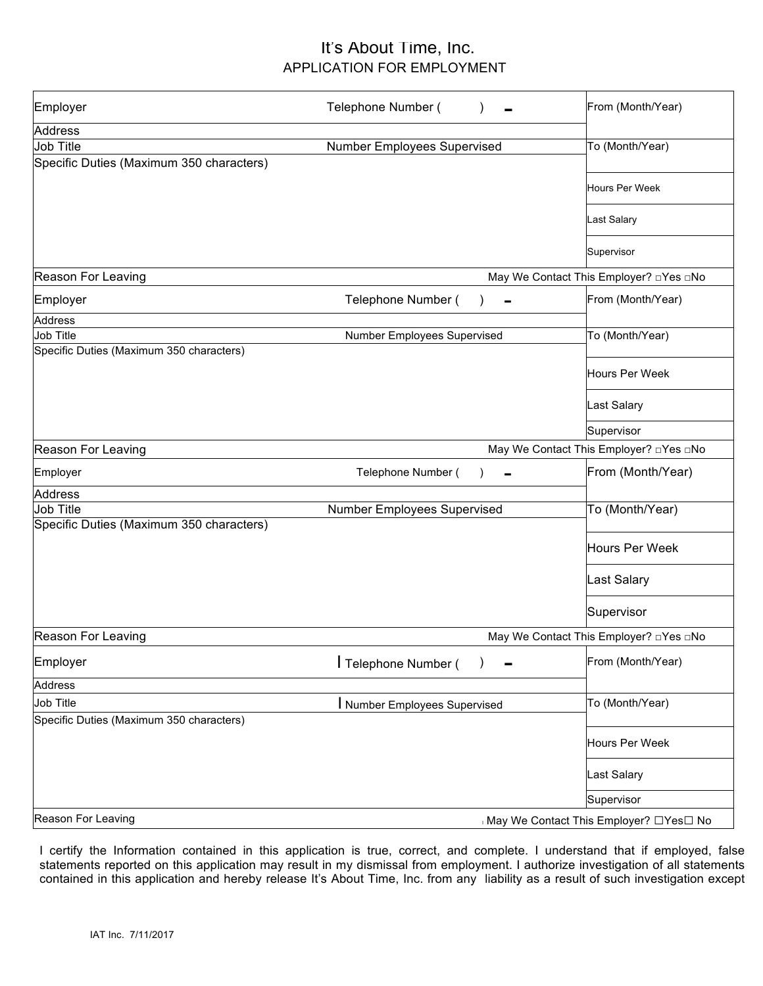| Employer                                 | Telephone Number (                     | From (Month/Year)                              |  |  |
|------------------------------------------|----------------------------------------|------------------------------------------------|--|--|
| <b>Address</b>                           |                                        |                                                |  |  |
| Job Title                                | Number Employees Supervised            | To (Month/Year)                                |  |  |
| Specific Duties (Maximum 350 characters) |                                        |                                                |  |  |
|                                          |                                        | <b>Hours Per Week</b>                          |  |  |
|                                          |                                        | Last Salary                                    |  |  |
|                                          |                                        | Supervisor                                     |  |  |
| Reason For Leaving                       |                                        | May We Contact This Employer? <b>DYes DNo</b>  |  |  |
| Employer                                 | Telephone Number (                     | From (Month/Year)                              |  |  |
| <b>Address</b>                           |                                        |                                                |  |  |
| Job Title                                | Number Employees Supervised            | To (Month/Year)                                |  |  |
| Specific Duties (Maximum 350 characters) |                                        | Hours Per Week                                 |  |  |
|                                          |                                        | Last Salary                                    |  |  |
|                                          |                                        | Supervisor                                     |  |  |
| Reason For Leaving                       |                                        | May We Contact This Employer? <b>The Right</b> |  |  |
| Employer                                 | Telephone Number (                     | From (Month/Year)                              |  |  |
| <b>Address</b>                           |                                        |                                                |  |  |
| Job Title                                | Number Employees Supervised            | To (Month/Year)                                |  |  |
| Specific Duties (Maximum 350 characters) |                                        |                                                |  |  |
|                                          |                                        | Hours Per Week                                 |  |  |
|                                          |                                        | Last Salary                                    |  |  |
|                                          |                                        | Supervisor                                     |  |  |
| Reason For Leaving                       |                                        | May We Contact This Employer? □Yes □No         |  |  |
| Employer                                 | Telephone Number (                     | From (Month/Year)                              |  |  |
| <b>Address</b>                           |                                        |                                                |  |  |
| Job Title                                | Number Employees Supervised            | To (Month/Year)                                |  |  |
| Specific Duties (Maximum 350 characters) |                                        |                                                |  |  |
|                                          |                                        | Hours Per Week                                 |  |  |
|                                          |                                        | Last Salary                                    |  |  |
|                                          |                                        | Supervisor                                     |  |  |
| Reason For Leaving                       | May We Contact This Employer? □Yes□ No |                                                |  |  |

I certify the Information contained in this application is true, correct, and complete. I understand that if employed, false statements reported on this application may result in my dismissal from employment. I authorize investigation of all statements contained in this application and hereby release It's About Time, Inc. from any liability as a result of such investigation except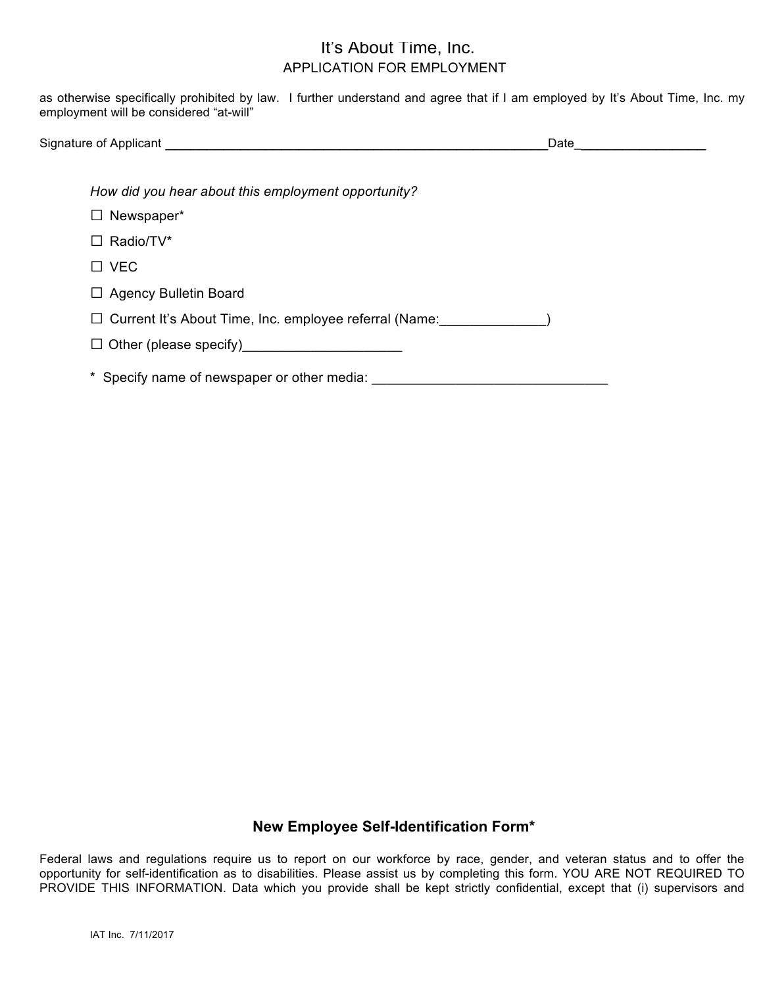as otherwise specifically prohibited by law. I further understand and agree that if I am employed by It's About Time, Inc. my employment will be considered "at-will"

| Signature of Applicant | Jate |
|------------------------|------|
|                        |      |

*How did you hear about this employment opportunity?* 

- □ Newspaper\*
- □ Radio/TV\*
- □ VEC
- □ Agency Bulletin Board
- □ Current It's About Time, Inc. employee referral (Name: )
- □ Other (please specify)\_\_\_\_\_\_\_\_\_\_\_\_\_\_\_\_\_\_\_\_\_

\* Specify name of newspaper or other media:

#### **New Employee Self-Identification Form\***

Federal laws and regulations require us to report on our workforce by race, gender, and veteran status and to offer the opportunity for self-identification as to disabilities. Please assist us by completing this form. YOU ARE NOT REQUIRED TO PROVIDE THIS INFORMATION. Data which you provide shall be kept strictly confidential, except that (i) supervisors and